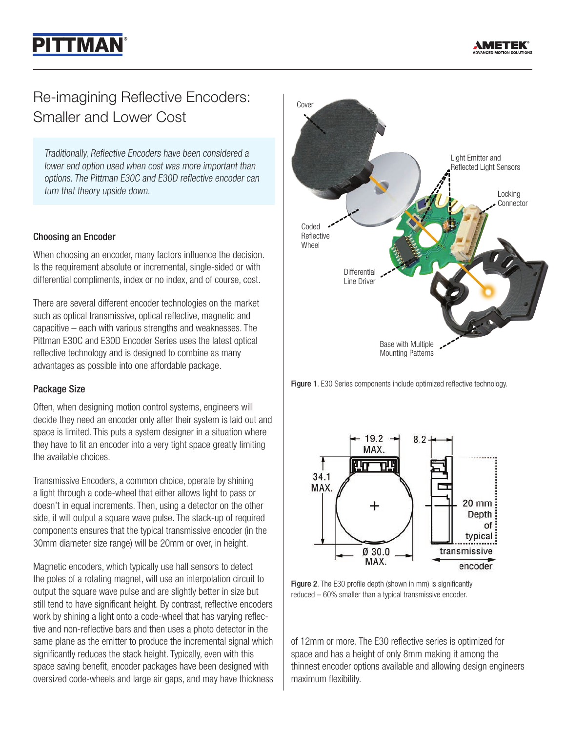# **PITTMAN**

# Re-imagining Reflective Encoders: Smaller and Lower Cost

Traditionally, Reflective Encoders have been considered a lower end option used when cost was more important than options. The Pittman E30C and E30D reflective encoder can turn that theory upside down.

# Choosing an Encoder

When choosing an encoder, many factors influence the decision. Is the requirement absolute or incremental, single-sided or with differential compliments, index or no index, and of course, cost.

There are several different encoder technologies on the market such as optical transmissive, optical reflective, magnetic and capacitive – each with various strengths and weaknesses. The Pittman E30C and E30D Encoder Series uses the latest optical reflective technology and is designed to combine as many advantages as possible into one affordable package.

#### Package Size

Often, when designing motion control systems, engineers will decide they need an encoder only after their system is laid out and space is limited. This puts a system designer in a situation where they have to fit an encoder into a very tight space greatly limiting the available choices.

Transmissive Encoders, a common choice, operate by shining a light through a code-wheel that either allows light to pass or doesn't in equal increments. Then, using a detector on the other side, it will output a square wave pulse. The stack-up of required components ensures that the typical transmissive encoder (in the 30mm diameter size range) will be 20mm or over, in height.

Magnetic encoders, which typically use hall sensors to detect the poles of a rotating magnet, will use an interpolation circuit to output the square wave pulse and are slightly better in size but still tend to have significant height. By contrast, reflective encoders work by shining a light onto a code-wheel that has varying reflective and non-reflective bars and then uses a photo detector in the same plane as the emitter to produce the incremental signal which significantly reduces the stack height. Typically, even with this space saving benefit, encoder packages have been designed with oversized code-wheels and large air gaps, and may have thickness



Figure 1. E30 Series components include optimized reflective technology.



Figure 2. The E30 profile depth (shown in mm) is significantly reduced – 60% smaller than a typical transmissive encoder.

of 12mm or more. The E30 reflective series is optimized for space and has a height of only 8mm making it among the thinnest encoder options available and allowing design engineers maximum flexibility.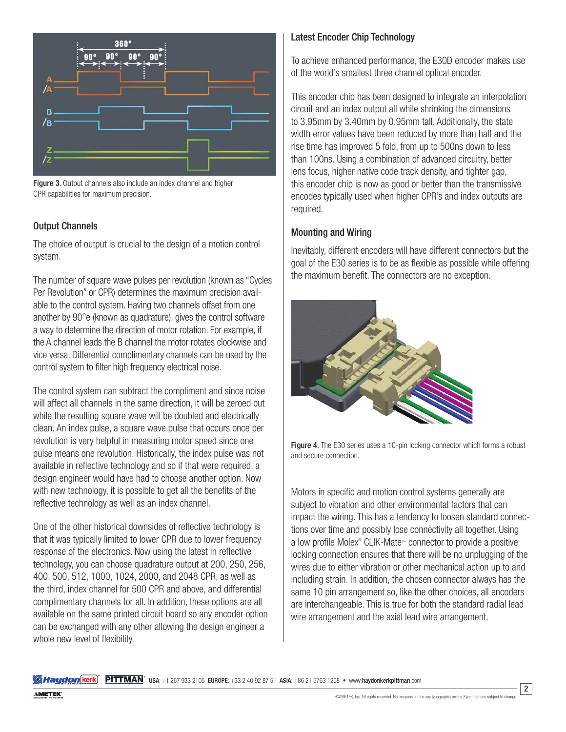

Figure 3. Output channels also include an index channel and higher CPR capabilities for maximum precision.

#### Output Channels

The choice of output is crucial to the design of a motion control system.

The number of square wave pulses per revolution (known as "Cycles Per Revolution" or CPR) determines the maximum precision available to the control system. Having two channels offset from one another by 90°e (known as quadrature), gives the control software a way to determine the direction of motor rotation. For example, if the A channel leads the B channel the motor rotates clockwise and vice versa. Differential complimentary channels can be used by the control system to filter high frequency electrical noise.

The control system can subtract the compliment and since noise will affect all channels in the same direction, it will be zeroed out while the resulting square wave will be doubled and electrically clean. An index pulse, a square wave pulse that occurs once per revolution is very helpful in measuring motor speed since one pulse means one revolution. Historically, the index pulse was not available in reflective technology and so if that were required, a design engineer would have had to choose another option. Now with new technology, it is possible to get all the benefits of the reflective technology as well as an index channel.

One of the other historical downsides of reflective technology is that it was typically limited to lower CPR due to lower frequency response of the electronics. Now using the latest in reflective technology, you can choose quadrature output at 200, 250, 256, 400, 500, 512, 1000, 1024, 2000, and 2048 CPR, as well as the third, index channel for 500 CPR and above, and differential complimentary channels for all. In addition, these options are all available on the same printed circuit board so any encoder option can be exchanged with any other allowing the design engineer a whole new level of flexibility.

# Latest Encoder Chip Technology

To achieve enhanced performance, the E30D encoder makes use of the world's smallest three channel optical encoder.

This encoder chip has been designed to integrate an interpolation circuit and an index output all while shrinking the dimensions to 3.95mm by 3.40mm by 0.95mm tall. Additionally, the state width error values have been reduced by more than half and the rise time has improved 5 fold, from up to 500ns down to less than 100ns. Using a combination of advanced circuitry, better lens focus, higher native code track density, and tighter gap, this encoder chip is now as good or better than the transmissive encodes typically used when higher CPR's and index outputs are required.

# Mounting and Wiring

Inevitably, different encoders will have different connectors but the goal of the E30 series is to be as flexible as possible while offering the maximum benefit. The connectors are no exception.





Motors in specific and motion control systems generally are subject to vibration and other environmental factors that can impact the wiring. This has a tendency to loosen standard connections over time and possibly lose connectivity all together. Using a low profile Molex® CLIK-Mate™ connector to provide a positive locking connection ensures that there will be no unplugging of the wires due to either vibration or other mechanical action up to and including strain. In addition, the chosen connector always has the same 10 pin arrangement so, like the other choices, all encoders are interchangeable. This is true for both the standard radial lead wire arrangement and the axial lead wire arrangement.

**SAHaydon (kerk) PITTMAN** USA: +1 267 933 2105 EUROPE: +33 2 40 92 87 51 ASIA: +86 21 5763 1258 • www.haydonkerkpittman.com

2